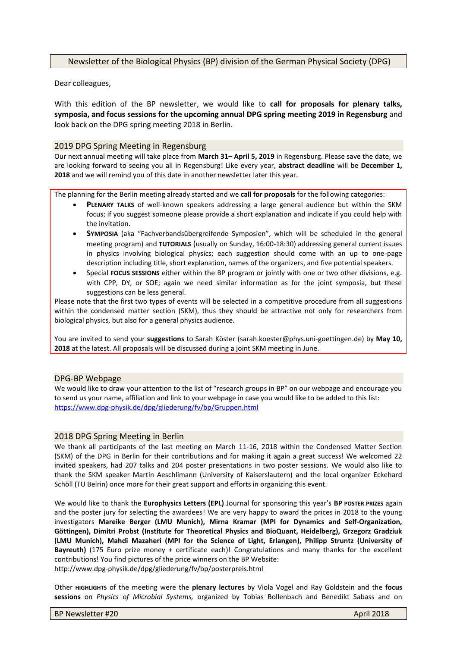# Newsletter of the Biological Physics (BP) division of the German Physical Society (DPG)

Dear colleagues,

With this edition of the BP newsletter, we would like to **call for proposals for plenary talks, symposia, and focus sessions for the upcoming annual DPG spring meeting 2019 in Regensburg** and look back on the DPG spring meeting 2018 in Berlin.

## 2019 DPG Spring Meeting in Regensburg

Our next annual meeting will take place from **March 31– April 5, 2019** in Regensburg. Please save the date, we are looking forward to seeing you all in Regensburg! Like every year, **abstract deadline** will be **December 1, 2018** and we will remind you of this date in another newsletter later this year.

The planning for the Berlin meeting already started and we **call for proposals** for the following categories:

- **PLENARY TALKS** of well-known speakers addressing a large general audience but within the SKM focus; if you suggest someone please provide a short explanation and indicate if you could help with the invitation.
- **SYMPOSIA** (aka "Fachverbandsübergreifende Symposien", which will be scheduled in the general meeting program) and **TUTORIALS** (usually on Sunday, 16:00-18:30) addressing general current issues in physics involving biological physics; each suggestion should come with an up to one-page description including title, short explanation, names of the organizers, and five potential speakers.
- Special **FOCUS SESSIONS** either within the BP program or jointly with one or two other divisions, e.g. with CPP, DY, or SOE; again we need similar information as for the joint symposia, but these suggestions can be less general.

Please note that the first two types of events will be selected in a competitive procedure from all suggestions within the condensed matter section (SKM), thus they should be attractive not only for researchers from biological physics, but also for a general physics audience.

You are invited to send your **suggestions** to Sarah Köster (sarah.koester@phys.uni-goettingen.de) by **May 10, 2018** at the latest. All proposals will be discussed during a joint SKM meeting in June.

### DPG-BP Webpage

We would like to draw your attention to the list of "research groups in BP" on our webpage and encourage you to send us your name, affiliation and link to your webpage in case you would like to be added to this list: <https://www.dpg-physik.de/dpg/gliederung/fv/bp/Gruppen.html>

### 2018 DPG Spring Meeting in Berlin

We thank all participants of the last meeting on March 11-16, 2018 within the Condensed Matter Section (SKM) of the DPG in Berlin for their contributions and for making it again a great success! We welcomed 22 invited speakers, had 207 talks and 204 poster presentations in two poster sessions. We would also like to thank the SKM speaker Martin Aeschlimann (University of Kaiserslautern) and the local organizer Eckehard Schöll (TU Belrin) once more for their great support and efforts in organizing this event.

We would like to thank the **Europhysics Letters (EPL)** Journal for sponsoring this year's **BP POSTER PRIZES** again and the poster jury for selecting the awardees! We are very happy to award the prices in 2018 to the young investigators **Mareike Berger (LMU Munich), Mirna Kramar (MPI for Dynamics and Self-Organization, Göttingen), Dimitri Probst (Institute for Theoretical Physics and BioQuant, Heidelberg), Grzegorz Gradziuk (LMU Munich), Mahdi Mazaheri (MPI for the Science of Light, Erlangen), Philipp Struntz (University of Bayreuth)** (175 Euro prize money + certificate each)! Congratulations and many thanks for the excellent contributions! You find pictures of the price winners on the BP Website: <http://www.dpg-physik.de/dpg/gliederung/fv/bp/posterpreis.html>

Other **HIGHLIGHTS** of the meeting were the **plenary lectures** by Viola Vogel and Ray Goldstein and the **focus sessions** on *Physics of Microbial Systems,* organized by Tobias Bollenbach and Benedikt Sabass and on